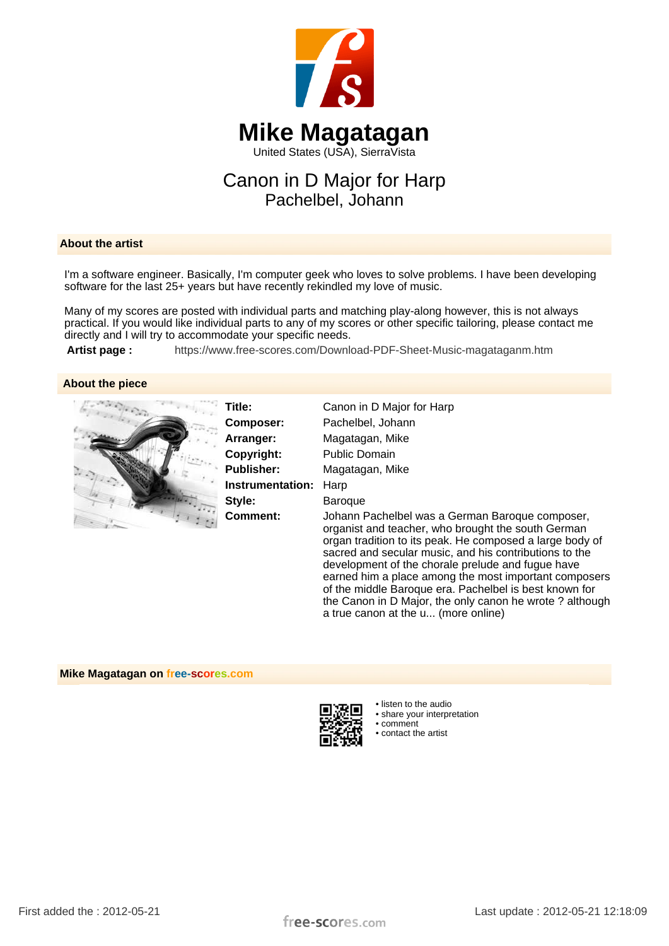

## Canon in D Major for Harp Pachelbel, Johann

## **About the artist**

I'm a software engineer. Basically, I'm computer geek who loves to solve problems. I have been developing software for the last 25+ years but have recently rekindled my love of music.

Many of my scores are posted with individual parts and matching play-along however, this is not always practical. If you would like individual parts to any of my scores or other specific tailoring, please contact me directly and I will try to accommodate your specific needs.

**Artist page :** https://www.free-scores.com/Download-PDF-Sheet-Music-magataganm.htm

## **About the piece**



**Title:** Canon in D Major for Harp **Instrumentation:** Harp Style: **Baroque** 

**Composer:** Pachelbel, Johann **Arranger:** Magatagan, Mike **Copyright:** Public Domain **Publisher:** Magatagan, Mike **Comment:** Johann Pachelbel was a German Baroque composer, organist and teacher, who brought the south German organ tradition to its peak. He composed a large body of sacred and secular music, and his contributions to the development of the chorale prelude and fugue have earned him a place among the most important composers of the middle Baroque era. Pachelbel is best known for the Canon in D Major, the only canon he wrote ? although

**Mike Magatagan on free-scores.com**



• listen to the audio • share your interpretation • comment

• contact the artist

a true canon at the u... (more online)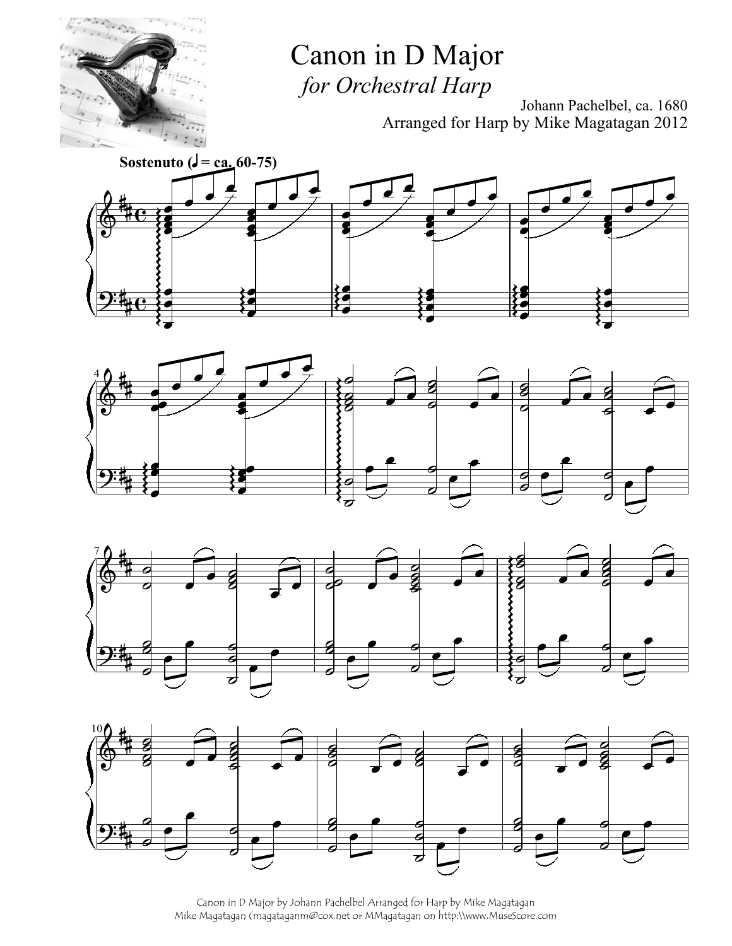

## Canon in D Major

*for Orchestral Harp*

Johann Pachelbel, ca. 1680 Arranged for Harp by Mike Magatagan 2012









Canon in D Major by Johann Pachelbel Arranged for Harp by Mike Magatagan Mike Magatagan (magataganm@cox.net or MMagatagan on http:\\www.MuseScore.com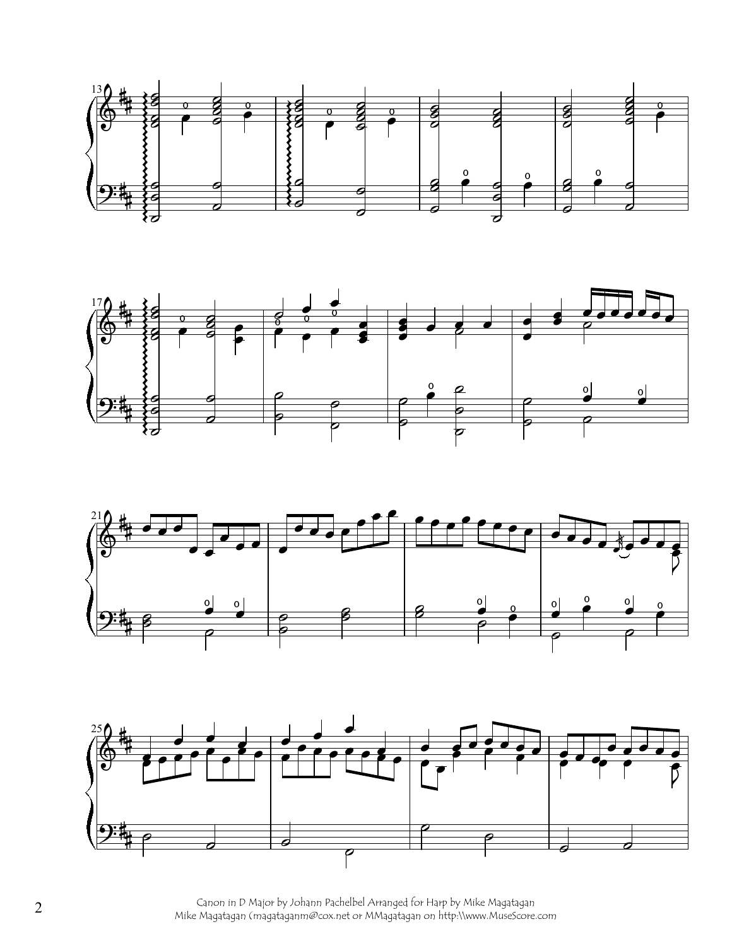







Canon in D Major by Johann Pachelbel Arranged for Harp by Mike Magatagan Mike Magatagan (magataganm@cox.net or MMagatagan on http:\\www.MuseScore.com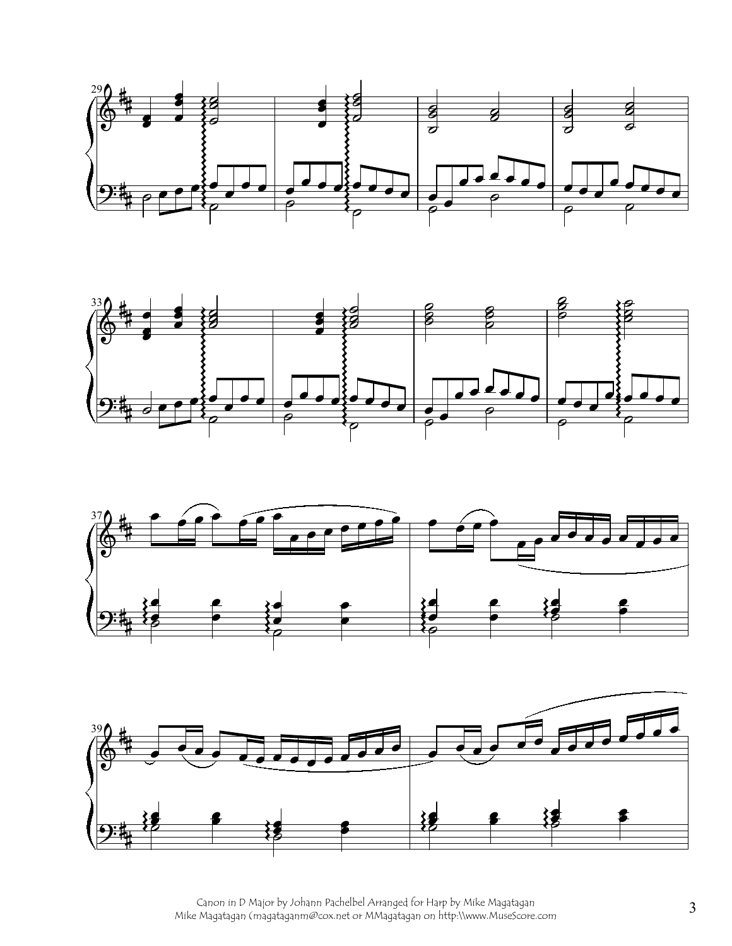







Canon in D Major by Johann Pachelbel Arranged for Harp by Mike Magatagan Mike Magatagan (magataganm@cox.net or MMagatagan on http:\\www.MuseScore.com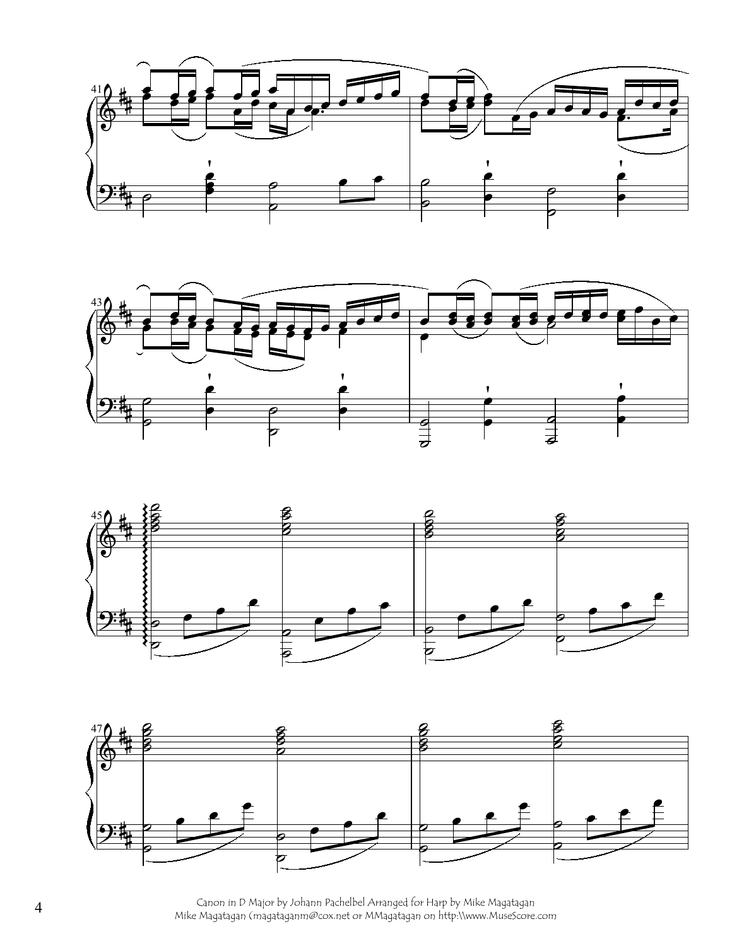







Canon in D Major by Johann Pachelbel Arranged for Harp by Mike Magatagan Mike Magatagan (magataganm@cox.net or MMagatagan on http:\\www.MuseScore.com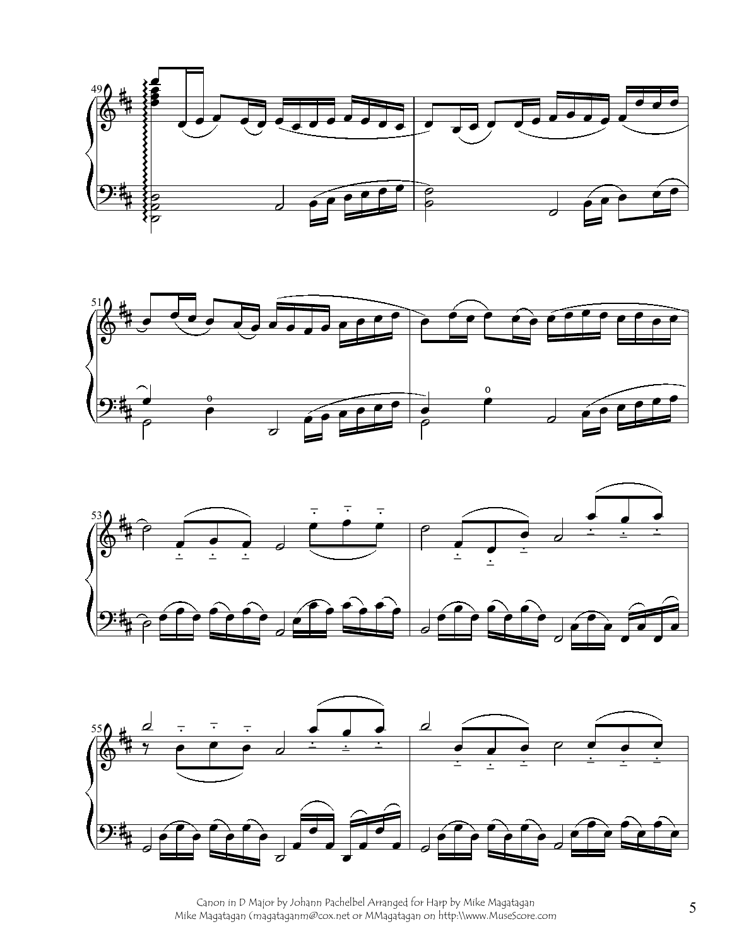







Canon in D Major by Johann Pachelbel Arranged for Harp by Mike Magatagan Mike Magatagan (magataganm@cox.net or MMagatagan on http:\\www.MuseScore.com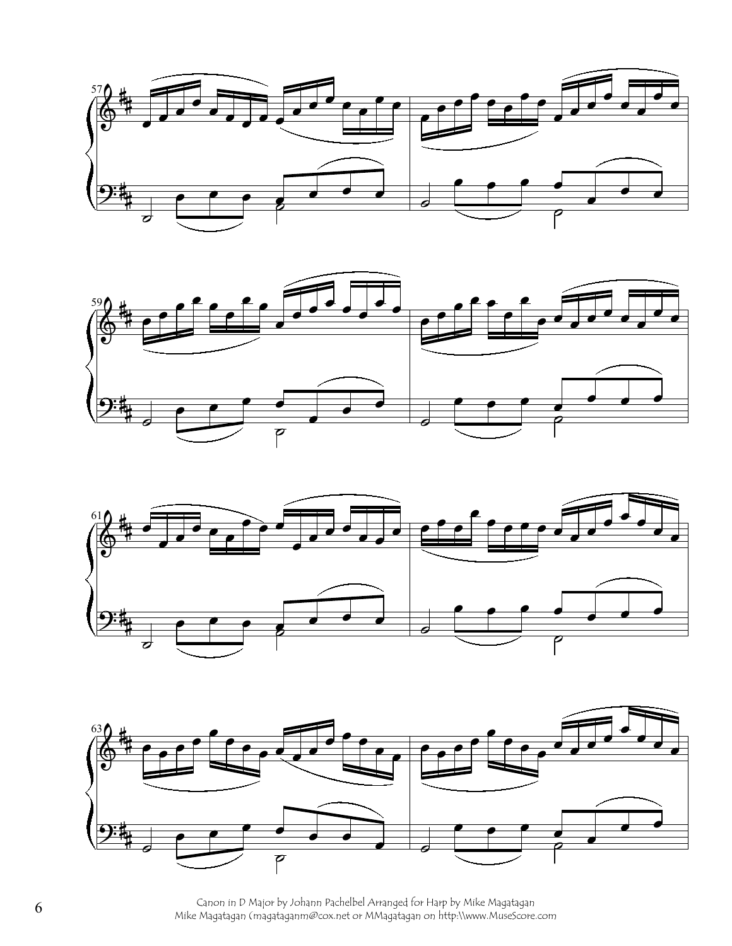







Canon in D Major by Johann Pachelbel Arranged for Harp by Mike Magatagan Mike Magatagan (magataganm@cox.net or MMagatagan on http:\\www.MuseScore.com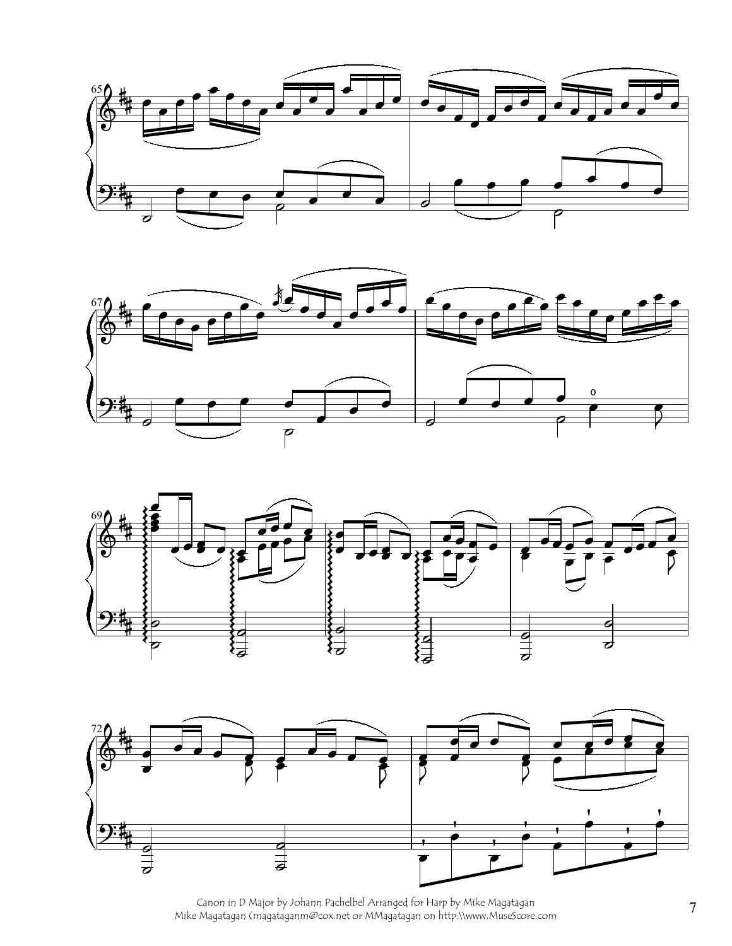







Canon in D Major by Johann Pachelbel Arranged for Harp by Mike Magatagan Mike Magatagan (magataganm@cox.net or MMagatagan on http:\\www.MuseScore.com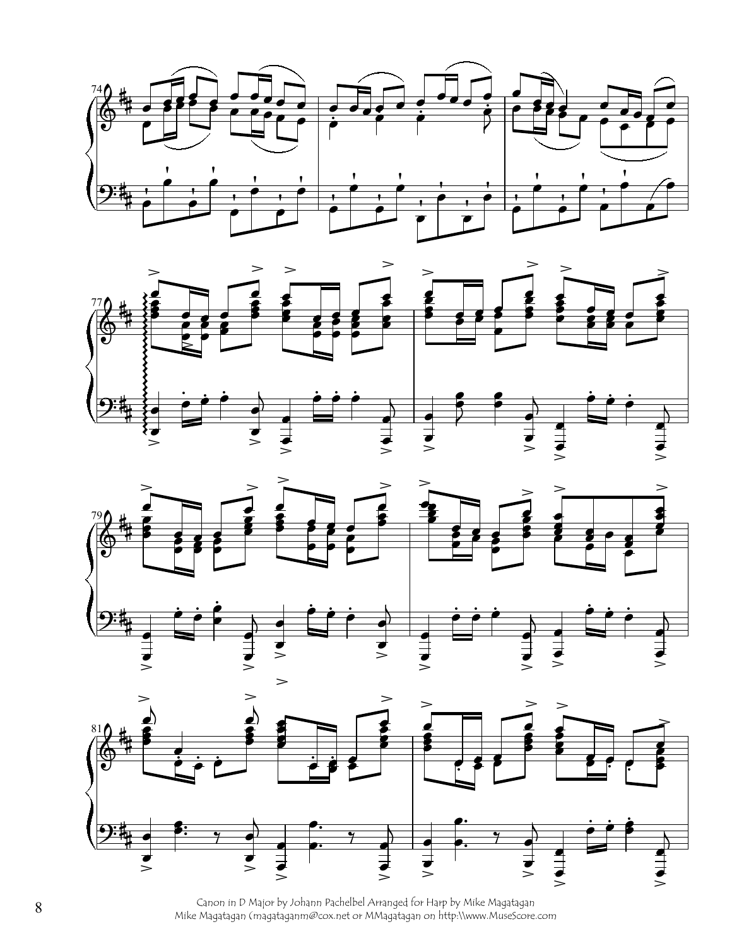







Canon in D Major by Johann Pachelbel Arranged for Harp by Mike Magatagan Mike Magatagan (magataganm@cox.net or MMagatagan on http:\\www.MuseScore.com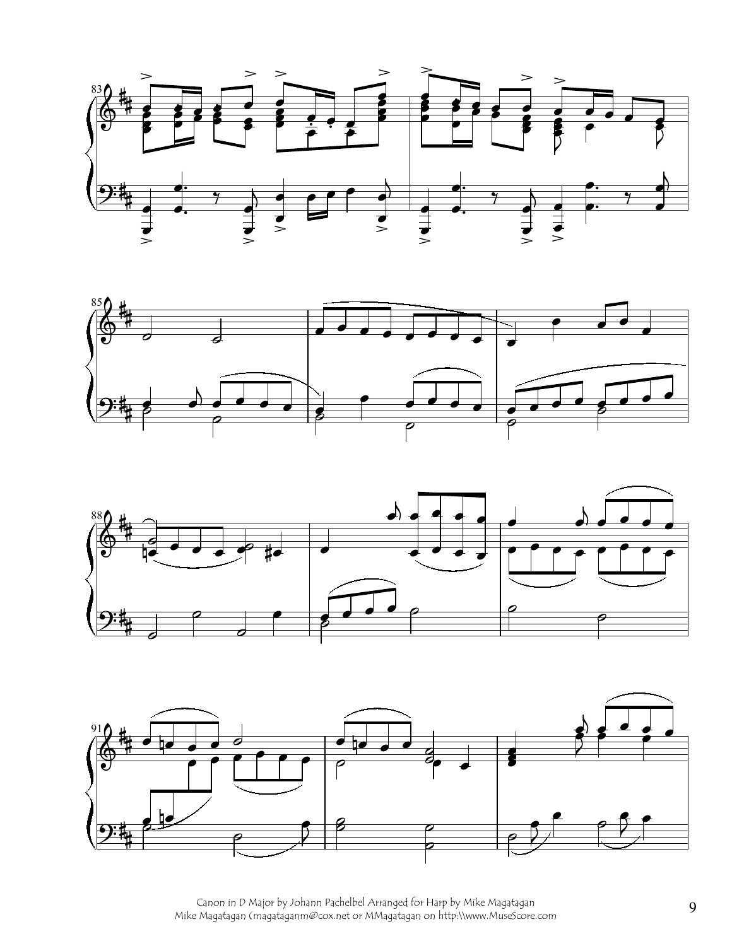







Canon in D Major by Johann Pachelbel Arranged for Harp by Mike Magatagan Mike Magatagan (magataganm@cox.net or MMagatagan on http:\\www.MuseScore.com